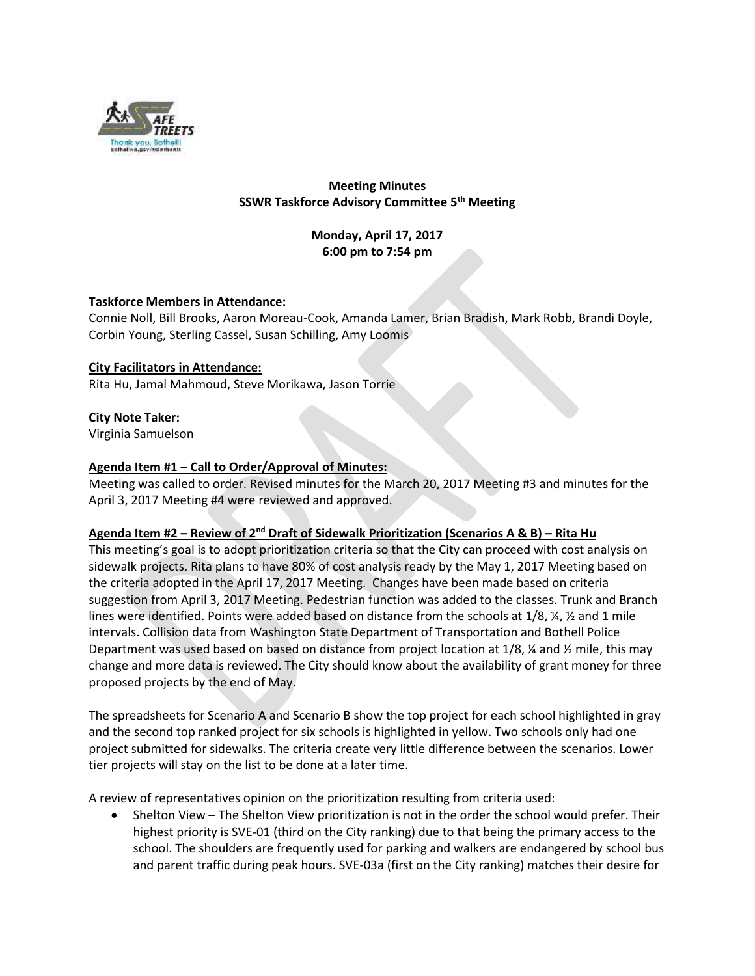

# **Meeting Minutes SSWR Taskforce Advisory Committee 5th Meeting**

**Monday, April 17, 2017 6:00 pm to 7:54 pm**

# **Taskforce Members in Attendance:**

Connie Noll, Bill Brooks, Aaron Moreau-Cook, Amanda Lamer, Brian Bradish, Mark Robb, Brandi Doyle, Corbin Young, Sterling Cassel, Susan Schilling, Amy Loomis

### **City Facilitators in Attendance:**

Rita Hu, Jamal Mahmoud, Steve Morikawa, Jason Torrie

### **City Note Taker:**

Virginia Samuelson

### **Agenda Item #1 – Call to Order/Approval of Minutes:**

Meeting was called to order. Revised minutes for the March 20, 2017 Meeting #3 and minutes for the April 3, 2017 Meeting #4 were reviewed and approved.

### **Agenda Item #2 – Review of 2nd Draft of Sidewalk Prioritization (Scenarios A & B) – Rita Hu**

This meeting's goal is to adopt prioritization criteria so that the City can proceed with cost analysis on sidewalk projects. Rita plans to have 80% of cost analysis ready by the May 1, 2017 Meeting based on the criteria adopted in the April 17, 2017 Meeting. Changes have been made based on criteria suggestion from April 3, 2017 Meeting. Pedestrian function was added to the classes. Trunk and Branch lines were identified. Points were added based on distance from the schools at 1/8, ¼, ½ and 1 mile intervals. Collision data from Washington State Department of Transportation and Bothell Police Department was used based on based on distance from project location at 1/8, ¼ and ½ mile, this may change and more data is reviewed. The City should know about the availability of grant money for three proposed projects by the end of May.

The spreadsheets for Scenario A and Scenario B show the top project for each school highlighted in gray and the second top ranked project for six schools is highlighted in yellow. Two schools only had one project submitted for sidewalks. The criteria create very little difference between the scenarios. Lower tier projects will stay on the list to be done at a later time.

A review of representatives opinion on the prioritization resulting from criteria used:

 Shelton View – The Shelton View prioritization is not in the order the school would prefer. Their highest priority is SVE-01 (third on the City ranking) due to that being the primary access to the school. The shoulders are frequently used for parking and walkers are endangered by school bus and parent traffic during peak hours. SVE-03a (first on the City ranking) matches their desire for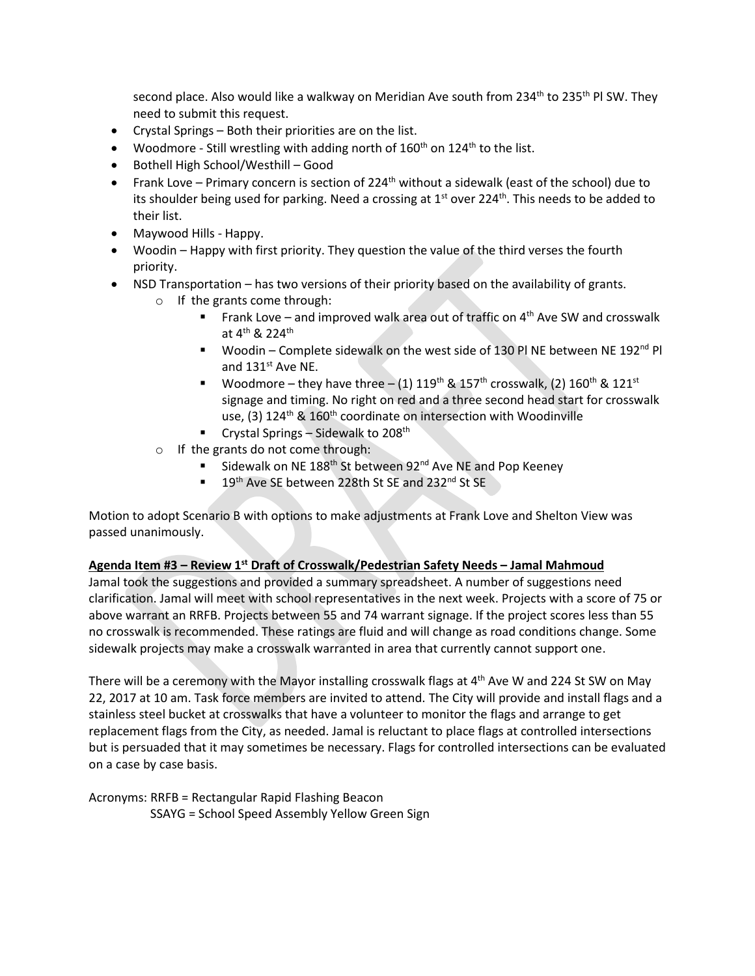second place. Also would like a walkway on Meridian Ave south from 234<sup>th</sup> to 235<sup>th</sup> Pl SW. They need to submit this request.

- Crystal Springs Both their priorities are on the list.
- Woodmore Still wrestling with adding north of  $160<sup>th</sup>$  on  $124<sup>th</sup>$  to the list.
- Bothell High School/Westhill Good
- Frank Love Primary concern is section of 224<sup>th</sup> without a sidewalk (east of the school) due to its shoulder being used for parking. Need a crossing at  $1<sup>st</sup>$  over 224<sup>th</sup>. This needs to be added to their list.
- Maywood Hills Happy.
- Woodin Happy with first priority. They question the value of the third verses the fourth priority.
- NSD Transportation has two versions of their priority based on the availability of grants.
	- o If the grants come through:
		- Frank Love and improved walk area out of traffic on  $4<sup>th</sup>$  Ave SW and crosswalk at 4<sup>th</sup> & 224<sup>th</sup>
		- Woodin Complete sidewalk on the west side of 130 PINE between NE 192<sup>nd</sup> PI and 131<sup>st</sup> Ave NE.
		- Woodmore they have three (1)  $119^{th}$  &  $157^{th}$  crosswalk, (2)  $160^{th}$  &  $121^{st}$ signage and timing. No right on red and a three second head start for crosswalk use, (3)  $124^{\text{th}}$  &  $160^{\text{th}}$  coordinate on intersection with Woodinville
		- Crystal Springs Sidewalk to 208<sup>th</sup>
	- o If the grants do not come through:
		- Sidewalk on NE 188<sup>th</sup> St between  $92^{nd}$  Ave NE and Pop Keeney
		- 19<sup>th</sup> Ave SE between 228th St SE and 232<sup>nd</sup> St SE

Motion to adopt Scenario B with options to make adjustments at Frank Love and Shelton View was passed unanimously.

# **Agenda Item #3 – Review 1st Draft of Crosswalk/Pedestrian Safety Needs – Jamal Mahmoud**

Jamal took the suggestions and provided a summary spreadsheet. A number of suggestions need clarification. Jamal will meet with school representatives in the next week. Projects with a score of 75 or above warrant an RRFB. Projects between 55 and 74 warrant signage. If the project scores less than 55 no crosswalk is recommended. These ratings are fluid and will change as road conditions change. Some sidewalk projects may make a crosswalk warranted in area that currently cannot support one.

There will be a ceremony with the Mayor installing crosswalk flags at  $4<sup>th</sup>$  Ave W and 224 St SW on May 22, 2017 at 10 am. Task force members are invited to attend. The City will provide and install flags and a stainless steel bucket at crosswalks that have a volunteer to monitor the flags and arrange to get replacement flags from the City, as needed. Jamal is reluctant to place flags at controlled intersections but is persuaded that it may sometimes be necessary. Flags for controlled intersections can be evaluated on a case by case basis.

Acronyms: RRFB = Rectangular Rapid Flashing Beacon SSAYG = School Speed Assembly Yellow Green Sign